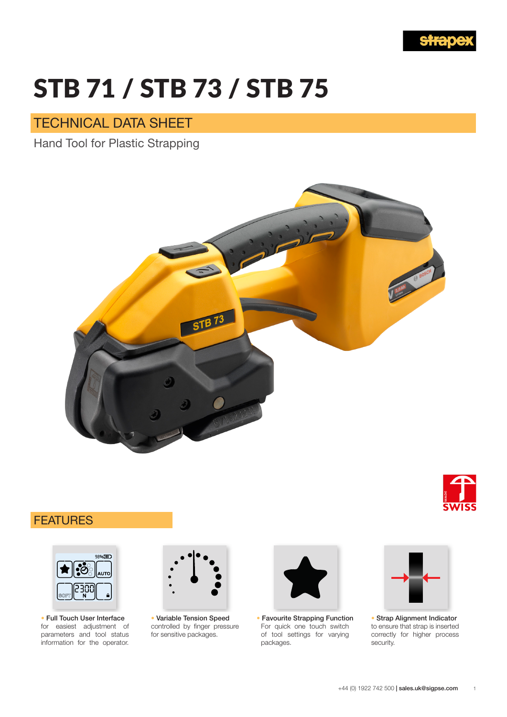

# TD 74 / CTD 79 / CTD 7 STB 71 / STB 73 / STB 75

## TECHNICAL DATA SHEET

Technical Data Sheet Data Sheet Technical Data Sheet Technical Data Sheet Technical Data Sheet Technical Data S Hand Tool for Plastic Strapping



# FEATURES FEATURES



for easiest adjustment of parameters and tool status information for the operator. ■ **Full touch user interface** • Full Touch User Interface



controlled by finger pressure controlled by finger pressure for sensitive packages for sensitive packages. ■ **Variable tension speed** • Variable Tension Speed



For quick one touch switch of tool settings for varying ■ **Favorite strapping function** • Favourite Strapping Functionpackages.



to ensure that strap is inserted to ensure that strap is inserted correctly for higher process correctly for higher process security security. ■ **Strap alignment indication** • Strap Alignment Indicator